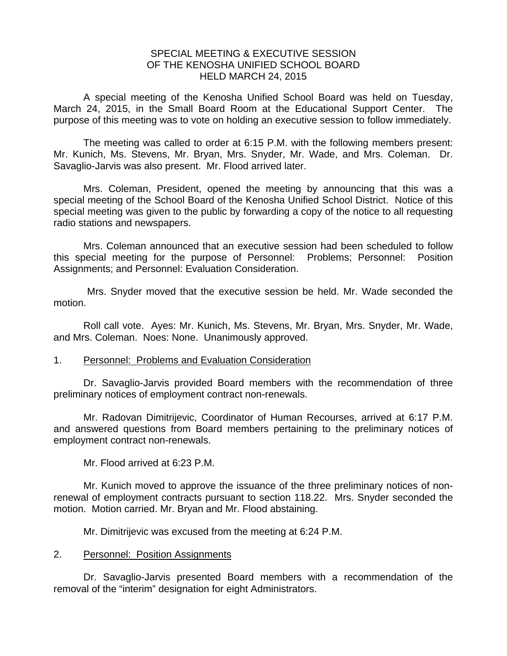## SPECIAL MEETING & EXECUTIVE SESSION OF THE KENOSHA UNIFIED SCHOOL BOARD HELD MARCH 24, 2015

A special meeting of the Kenosha Unified School Board was held on Tuesday, March 24, 2015, in the Small Board Room at the Educational Support Center. The purpose of this meeting was to vote on holding an executive session to follow immediately.

 The meeting was called to order at 6:15 P.M. with the following members present: Mr. Kunich, Ms. Stevens, Mr. Bryan, Mrs. Snyder, Mr. Wade, and Mrs. Coleman. Dr. Savaglio-Jarvis was also present. Mr. Flood arrived later.

 Mrs. Coleman, President, opened the meeting by announcing that this was a special meeting of the School Board of the Kenosha Unified School District. Notice of this special meeting was given to the public by forwarding a copy of the notice to all requesting radio stations and newspapers.

 Mrs. Coleman announced that an executive session had been scheduled to follow this special meeting for the purpose of Personnel: Problems; Personnel: Position Assignments; and Personnel: Evaluation Consideration.

 Mrs. Snyder moved that the executive session be held. Mr. Wade seconded the motion.

Roll call vote. Ayes: Mr. Kunich, Ms. Stevens, Mr. Bryan, Mrs. Snyder, Mr. Wade, and Mrs. Coleman. Noes: None. Unanimously approved.

## 1. Personnel: Problems and Evaluation Consideration

 Dr. Savaglio-Jarvis provided Board members with the recommendation of three preliminary notices of employment contract non-renewals.

Mr. Radovan Dimitrijevic, Coordinator of Human Recourses, arrived at 6:17 P.M. and answered questions from Board members pertaining to the preliminary notices of employment contract non-renewals.

Mr. Flood arrived at 6:23 P.M.

Mr. Kunich moved to approve the issuance of the three preliminary notices of nonrenewal of employment contracts pursuant to section 118.22. Mrs. Snyder seconded the motion. Motion carried. Mr. Bryan and Mr. Flood abstaining.

Mr. Dimitrijevic was excused from the meeting at 6:24 P.M.

## 2. Personnel: Position Assignments

Dr. Savaglio-Jarvis presented Board members with a recommendation of the removal of the "interim" designation for eight Administrators.